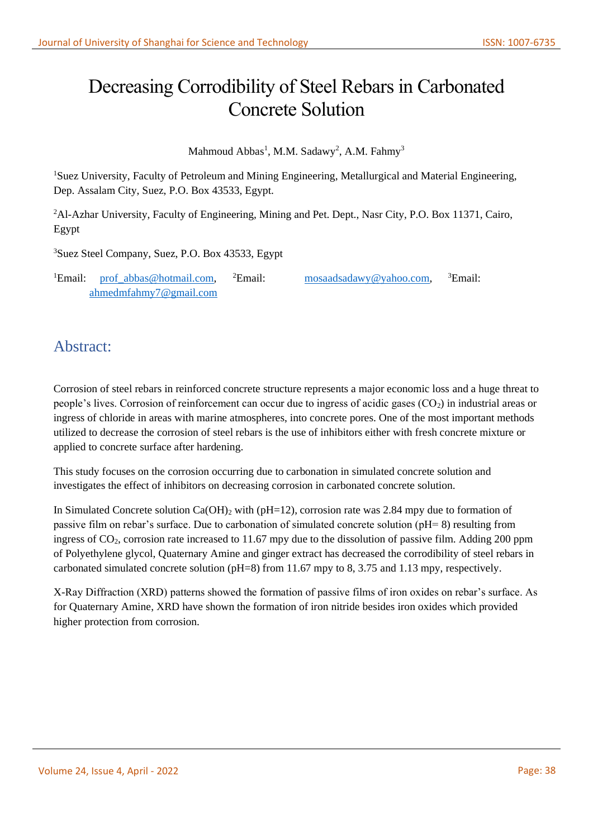# Decreasing Corrodibility of Steel Rebars in Carbonated Concrete Solution

Mahmoud Abbas<sup>1</sup>, M.M. Sadawy<sup>2</sup>, A.M. Fahmy<sup>3</sup>

<sup>1</sup>Suez University, Faculty of Petroleum and Mining Engineering, Metallurgical and Material Engineering, Dep. Assalam City, Suez, P.O. Box 43533, Egypt.

<sup>2</sup>Al-Azhar University, Faculty of Engineering, Mining and Pet. Dept., Nasr City, P.O. Box 11371, Cairo, Egypt

<sup>3</sup>Suez Steel Company, Suez, P.O. Box 43533, Egypt

<sup>1</sup>Email: prof abbas@hotmail.com, <sup>2</sup>Email: [mosaadsadawy@yahoo.com,](mailto:mosaadsadawy@yahoo.com) <sup>3</sup>Email: [ahmedmfahmy7@gmail.com](mailto:ahmedmfahmy7@gmail.com)

## Abstract:

Corrosion of steel rebars in reinforced concrete structure represents a major economic loss and a huge threat to people's lives. Corrosion of reinforcement can occur due to ingress of acidic gases  $(CO<sub>2</sub>)$  in industrial areas or ingress of chloride in areas with marine atmospheres, into concrete pores. One of the most important methods utilized to decrease the corrosion of steel rebars is the use of inhibitors either with fresh concrete mixture or applied to concrete surface after hardening.

This study focuses on the corrosion occurring due to carbonation in simulated concrete solution and investigates the effect of inhibitors on decreasing corrosion in carbonated concrete solution.

In Simulated Concrete solution  $Ca(OH)_2$  with (pH=12), corrosion rate was 2.84 mpy due to formation of passive film on rebar's surface. Due to carbonation of simulated concrete solution (pH= 8) resulting from ingress of CO2, corrosion rate increased to 11.67 mpy due to the dissolution of passive film. Adding 200 ppm of Polyethylene glycol, Quaternary Amine and ginger extract has decreased the corrodibility of steel rebars in carbonated simulated concrete solution (pH=8) from 11.67 mpy to 8, 3.75 and 1.13 mpy, respectively.

X-Ray Diffraction (XRD) patterns showed the formation of passive films of iron oxides on rebar's surface. As for Quaternary Amine, XRD have shown the formation of iron nitride besides iron oxides which provided higher protection from corrosion.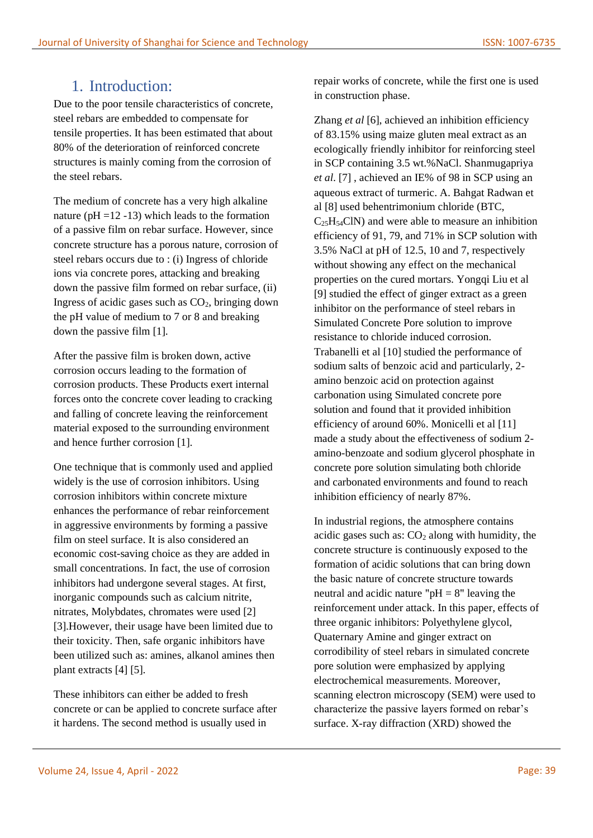# 1. Introduction:

Due to the poor tensile characteristics of concrete, steel rebars are embedded to compensate for tensile properties. It has been estimated that about 80% of the deterioration of reinforced concrete structures is mainly coming from the corrosion of the steel rebars.

The medium of concrete has a very high alkaline nature ( $pH = 12 - 13$ ) which leads to the formation of a passive film on rebar surface. However, since concrete structure has a porous nature, corrosion of steel rebars occurs due to : (i) Ingress of chloride ions via concrete pores, attacking and breaking down the passive film formed on rebar surface, (ii) Ingress of acidic gases such as  $CO<sub>2</sub>$ , bringing down the pH value of medium to 7 or 8 and breaking down the passive film [1].

After the passive film is broken down, active corrosion occurs leading to the formation of corrosion products. These Products exert internal forces onto the concrete cover leading to cracking and falling of concrete leaving the reinforcement material exposed to the surrounding environment and hence further corrosion [1].

One technique that is commonly used and applied widely is the use of corrosion inhibitors. Using corrosion inhibitors within concrete mixture enhances the performance of rebar reinforcement in aggressive environments by forming a passive film on steel surface. It is also considered an economic cost-saving choice as they are added in small concentrations. In fact, the use of corrosion inhibitors had undergone several stages. At first, inorganic compounds such as calcium nitrite, nitrates, Molybdates, chromates were used [2] [3].However, their usage have been limited due to their toxicity. Then, safe organic inhibitors have been utilized such as: amines, alkanol amines then plant extracts [4] [5].

These inhibitors can either be added to fresh concrete or can be applied to concrete surface after it hardens. The second method is usually used in

repair works of concrete, while the first one is used in construction phase.

Zhang *et al* [6], achieved an inhibition efficiency of 83.15% using maize gluten meal extract as an ecologically friendly inhibitor for reinforcing steel in SCP containing 3.5 wt.%NaCl. Shanmugapriya *et al*. [7] , achieved an IE% of 98 in SCP using an aqueous extract of turmeric. A. Bahgat Radwan et al [8] used behentrimonium chloride (BTC,  $C_{25}H_{54}CIN$ ) and were able to measure an inhibition efficiency of 91, 79, and 71% in SCP solution with 3.5% NaCl at pH of 12.5, 10 and 7, respectively without showing any effect on the mechanical properties on the cured mortars. Yongqi Liu et al [9] studied the effect of ginger extract as a green inhibitor on the performance of steel rebars in Simulated Concrete Pore solution to improve resistance to chloride induced corrosion. Trabanelli et al [10] studied the performance of sodium salts of benzoic acid and particularly, 2 amino benzoic acid on protection against carbonation using Simulated concrete pore solution and found that it provided inhibition efficiency of around 60%. Monicelli et al [11] made a study about the effectiveness of sodium 2 amino-benzoate and sodium glycerol phosphate in concrete pore solution simulating both chloride and carbonated environments and found to reach inhibition efficiency of nearly 87%.

In industrial regions, the atmosphere contains acidic gases such as:  $CO<sub>2</sub>$  along with humidity, the concrete structure is continuously exposed to the formation of acidic solutions that can bring down the basic nature of concrete structure towards neutral and acidic nature " $pH = 8$ " leaving the reinforcement under attack. In this paper, effects of three organic inhibitors: Polyethylene glycol, Quaternary Amine and ginger extract on corrodibility of steel rebars in simulated concrete pore solution were emphasized by applying electrochemical measurements. Moreover, scanning electron microscopy (SEM) were used to characterize the passive layers formed on rebar's surface. X-ray diffraction (XRD) showed the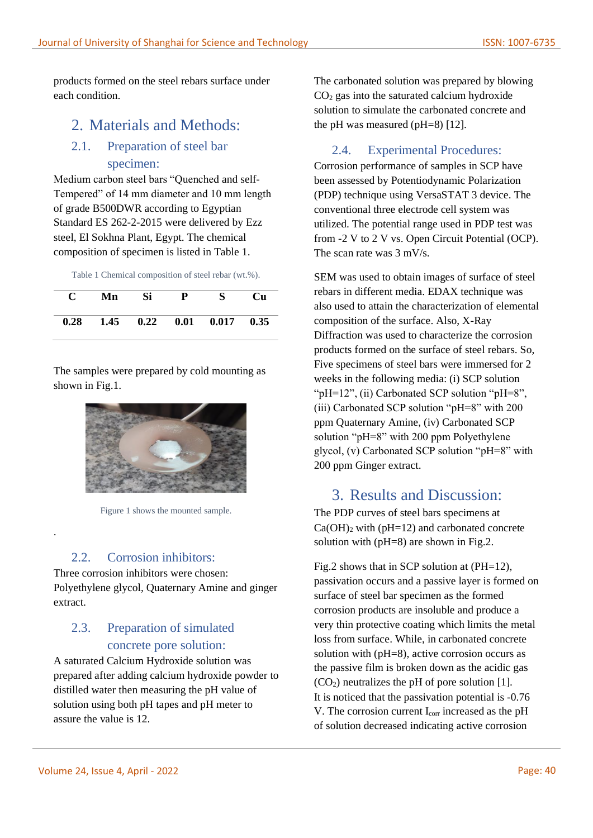products formed on the steel rebars surface under each condition.

# 2. Materials and Methods:

#### 2.1. Preparation of steel bar specimen:

Medium carbon steel bars "Quenched and self-Tempered" of 14 mm diameter and 10 mm length of grade B500DWR according to Egyptian Standard ES 262-2-2015 were delivered by Ezz steel, El Sokhna Plant, Egypt. The chemical composition of specimen is listed in Table 1.

|  |  | Table 1 Chemical composition of steel rebar (wt.%). |  |  |  |
|--|--|-----------------------------------------------------|--|--|--|
|--|--|-----------------------------------------------------|--|--|--|

| $\mathbf{C}^-$ | Mn. | Si | P | S.                                 | Cи |
|----------------|-----|----|---|------------------------------------|----|
|                |     |    |   | $0.28$ 1.45 $0.22$ 0.01 0.017 0.35 |    |

The samples were prepared by cold mounting as shown in Fig.1.



Figure 1 shows the mounted sample.

#### 2.2. Corrosion inhibitors:

.

Three corrosion inhibitors were chosen: Polyethylene glycol, Quaternary Amine and ginger extract.

### 2.3. Preparation of simulated concrete pore solution:

A saturated Calcium Hydroxide solution was prepared after adding calcium hydroxide powder to distilled water then measuring the pH value of solution using both pH tapes and pH meter to assure the value is 12.

The carbonated solution was prepared by blowing  $CO<sub>2</sub>$  gas into the saturated calcium hydroxide solution to simulate the carbonated concrete and the pH was measured (pH=8) [12].

### 2.4. Experimental Procedures:

Corrosion performance of samples in SCP have been assessed by Potentiodynamic Polarization (PDP) technique using VersaSTAT 3 device. The conventional three electrode cell system was utilized. The potential range used in PDP test was from -2 V to 2 V vs. Open Circuit Potential (OCP). The scan rate was 3 mV/s.

SEM was used to obtain images of surface of steel rebars in different media. EDAX technique was also used to attain the characterization of elemental composition of the surface. Also, X-Ray Diffraction was used to characterize the corrosion products formed on the surface of steel rebars. So, Five specimens of steel bars were immersed for 2 weeks in the following media: (i) SCP solution "pH=12", (ii) Carbonated SCP solution "pH=8", (iii) Carbonated SCP solution "pH=8" with 200 ppm Quaternary Amine, (iv) Carbonated SCP solution "pH=8" with 200 ppm Polyethylene glycol, (v) Carbonated SCP solution "pH=8" with 200 ppm Ginger extract.

# 3. Results and Discussion:

The PDP curves of steel bars specimens at  $Ca(OH)_2$  with (pH=12) and carbonated concrete solution with (pH=8) are shown in Fig.2.

Fig.2 shows that in SCP solution at (PH=12), passivation occurs and a passive layer is formed on surface of steel bar specimen as the formed corrosion products are insoluble and produce a very thin protective coating which limits the metal loss from surface. While, in carbonated concrete solution with (pH=8), active corrosion occurs as the passive film is broken down as the acidic gas  $(CO<sub>2</sub>)$  neutralizes the pH of pore solution [1]. It is noticed that the passivation potential is -0.76 V. The corrosion current I<sub>corr</sub> increased as the pH of solution decreased indicating active corrosion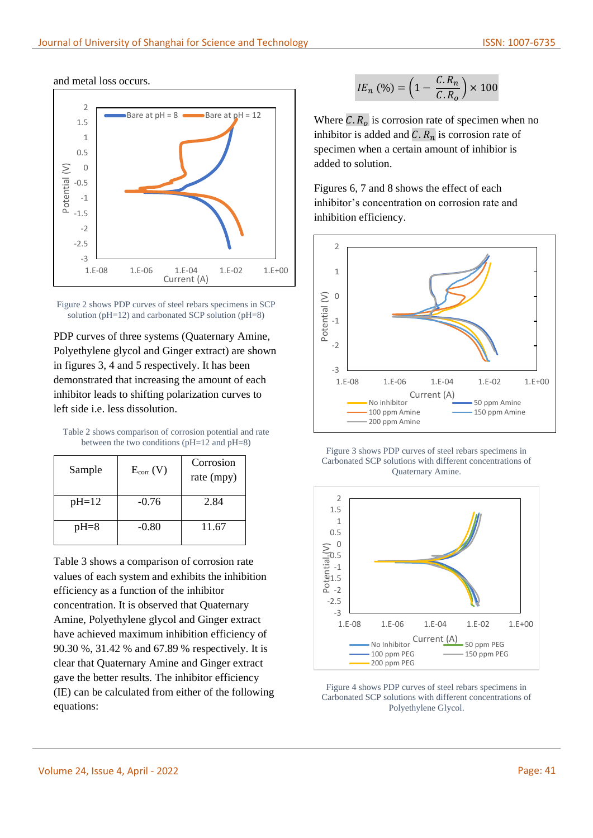

and metal loss occurs.

Figure 2 shows PDP curves of steel rebars specimens in SCP solution (pH=12) and carbonated SCP solution (pH=8)

PDP curves of three systems (Quaternary Amine, Polyethylene glycol and Ginger extract) are shown in figures 3, 4 and 5 respectively. It has been demonstrated that increasing the amount of each inhibitor leads to shifting polarization curves to left side i.e. less dissolution.

Table 2 shows comparison of corrosion potential and rate between the two conditions (pH=12 and pH=8)

| Sample  | $E_{corr}$ (V) | Corrosion<br>rate (mpy) |
|---------|----------------|-------------------------|
| $pH=12$ | $-0.76$        | 2.84                    |
| $pH=8$  | $-0.80$        | 11.67                   |

Table 3 shows a comparison of corrosion rate values of each system and exhibits the inhibition efficiency as a function of the inhibitor concentration. It is observed that Quaternary Amine, Polyethylene glycol and Ginger extract have achieved maximum inhibition efficiency of 90.30 %, 31.42 % and 67.89 % respectively. It is clear that Quaternary Amine and Ginger extract gave the better results. The inhibitor efficiency (IE) can be calculated from either of the following equations:

$$
IE_n \text{ } (\%) = \left(1 - \frac{C.R_n}{C.R_o}\right) \times 100
$$

Where  $C$ .  $R_0$  is corrosion rate of specimen when no inhibitor is added and  $C. R_n$  is corrosion rate of specimen when a certain amount of inhibior is added to solution.

Figures 6, 7 and 8 shows the effect of each inhibitor's concentration on corrosion rate and inhibition efficiency.



Figure 3 shows PDP curves of steel rebars specimens in Carbonated SCP solutions with different concentrations of Quaternary Amine.



Figure 4 shows PDP curves of steel rebars specimens in Carbonated SCP solutions with different concentrations of Polyethylene Glycol.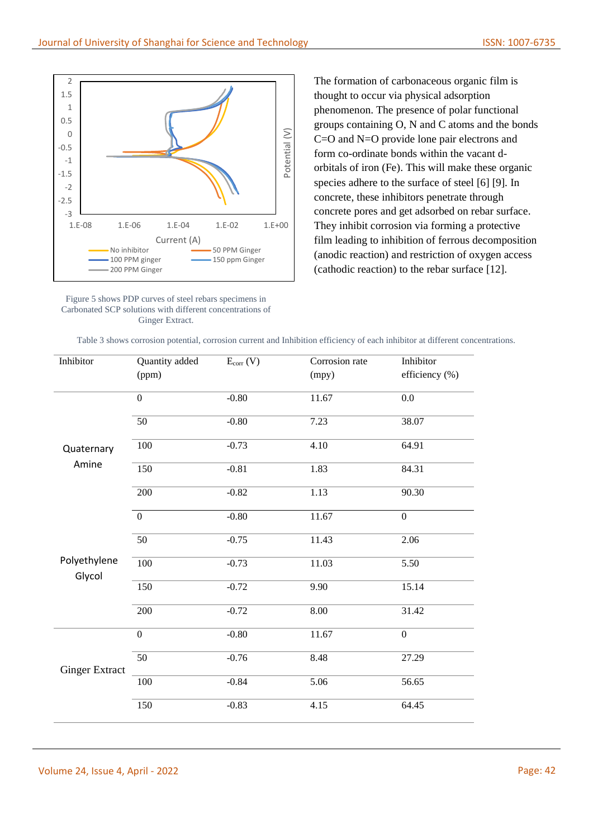

Figure 5 shows PDP curves of steel rebars specimens in Carbonated SCP solutions with different concentrations of Ginger Extract.

The formation of carbonaceous organic film is thought to occur via physical adsorption phenomenon. The presence of polar functional groups containing O, N and C atoms and the bonds C=O and N=O provide lone pair electrons and form co-ordinate bonds within the vacant dorbitals of iron (Fe). This will make these organic species adhere to the surface of steel [6] [9]. In concrete, these inhibitors penetrate through concrete pores and get adsorbed on rebar surface. They inhibit corrosion via forming a protective film leading to inhibition of ferrous decomposition (anodic reaction) and restriction of oxygen access (cathodic reaction) to the rebar surface [12].

| Table 3 shows corrosion potential, corrosion current and Inhibition efficiency of each inhibitor at different concentrations. |  |  |
|-------------------------------------------------------------------------------------------------------------------------------|--|--|
|                                                                                                                               |  |  |

| Inhibitor              | Quantity added | $E_{corr}$ (V) | Corrosion rate | Inhibitor        |
|------------------------|----------------|----------------|----------------|------------------|
|                        | (ppm)          |                | (mpy)          | efficiency (%)   |
|                        | $\mathbf{0}$   | $-0.80$        | 11.67          | 0.0              |
| Quaternary<br>Amine    | 50             | $-0.80$        | 7.23           | 38.07            |
|                        | 100            | $-0.73$        | 4.10           | 64.91            |
|                        | 150            | $-0.81$        | 1.83           | 84.31            |
|                        | 200            | $-0.82$        | 1.13           | 90.30            |
|                        | $\mathbf{0}$   | $-0.80$        | 11.67          | $\boldsymbol{0}$ |
| Polyethylene<br>Glycol | 50             | $-0.75$        | 11.43          | 2.06             |
|                        | 100            | $-0.73$        | 11.03          | 5.50             |
|                        | 150            | $-0.72$        | 9.90           | 15.14            |
|                        | 200            | $-0.72$        | 8.00           | 31.42            |
|                        | $\overline{0}$ | $-0.80$        | 11.67          | $\boldsymbol{0}$ |
| <b>Ginger Extract</b>  | 50             | $-0.76$        | 8.48           | 27.29            |
|                        | $100\,$        | $-0.84$        | 5.06           | 56.65            |
|                        | 150            | $-0.83$        | 4.15           | 64.45            |
|                        |                |                |                |                  |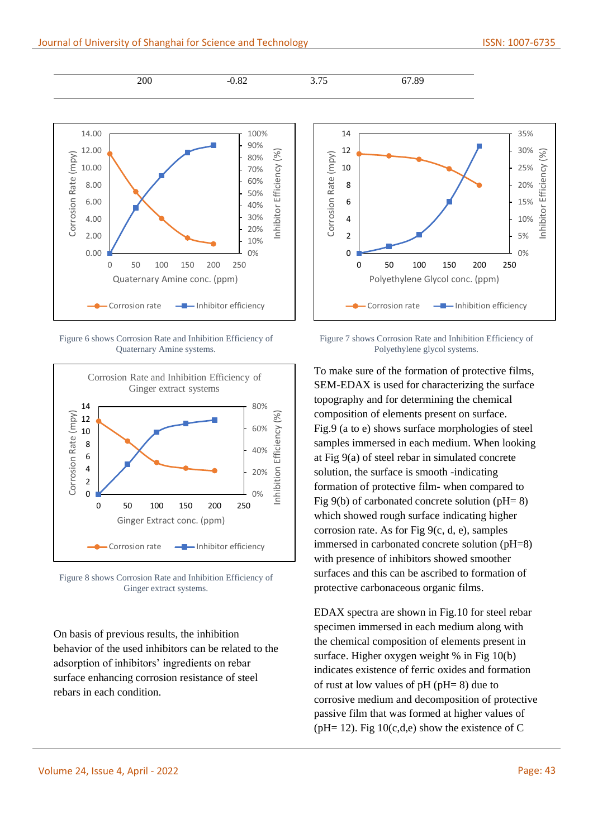



Figure 6 shows Corrosion Rate and Inhibition Efficiency of Quaternary Amine systems.



Figure 8 shows Corrosion Rate and Inhibition Efficiency of Ginger extract systems.

On basis of previous results, the inhibition behavior of the used inhibitors can be related to the adsorption of inhibitors' ingredients on rebar surface enhancing corrosion resistance of steel rebars in each condition.



Figure 7 shows Corrosion Rate and Inhibition Efficiency of Polyethylene glycol systems.

To make sure of the formation of protective films, SEM-EDAX is used for characterizing the surface topography and for determining the chemical composition of elements present on surface. Fig.9 (a to e) shows surface morphologies of steel samples immersed in each medium. When looking at Fig 9(a) of steel rebar in simulated concrete solution, the surface is smooth -indicating formation of protective film- when compared to Fig  $9(b)$  of carbonated concrete solution ( $pH=8$ ) which showed rough surface indicating higher corrosion rate. As for Fig 9(c, d, e), samples immersed in carbonated concrete solution (pH=8) with presence of inhibitors showed smoother surfaces and this can be ascribed to formation of protective carbonaceous organic films.

EDAX spectra are shown in Fig.10 for steel rebar specimen immersed in each medium along with the chemical composition of elements present in surface. Higher oxygen weight % in Fig 10(b) indicates existence of ferric oxides and formation of rust at low values of pH (pH= 8) due to corrosive medium and decomposition of protective passive film that was formed at higher values of ( $pH= 12$ ). Fig 10( $c,d,e$ ) show the existence of C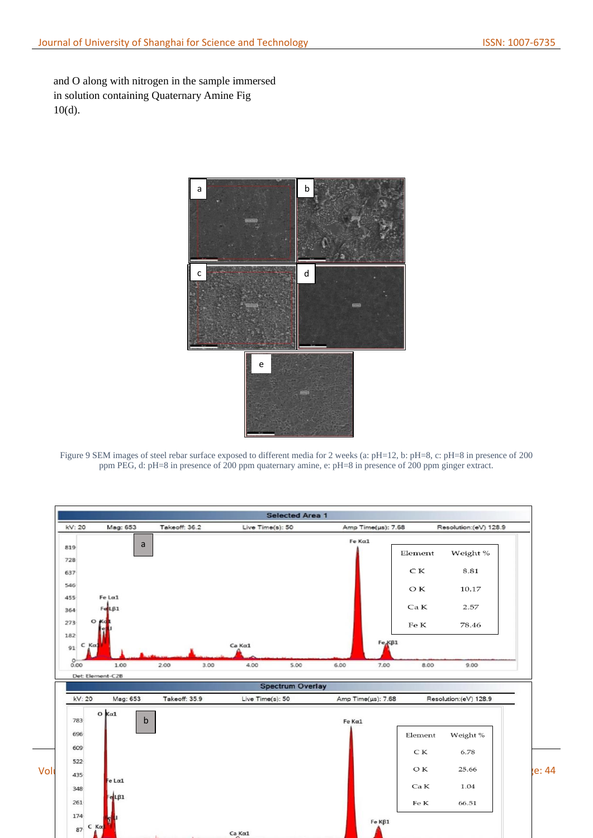and O along with nitrogen in the sample immersed in solution containing Quaternary Amine Fig  $10(d)$ .



Figure 9 SEM images of steel rebar surface exposed to different media for 2 weeks (a: pH=12, b: pH=8, c: pH=8 in presence of 200 ppm PEG, d: pH=8 in presence of 200 ppm quaternary amine, e: pH=8 in presence of 200 ppm ginger extract.

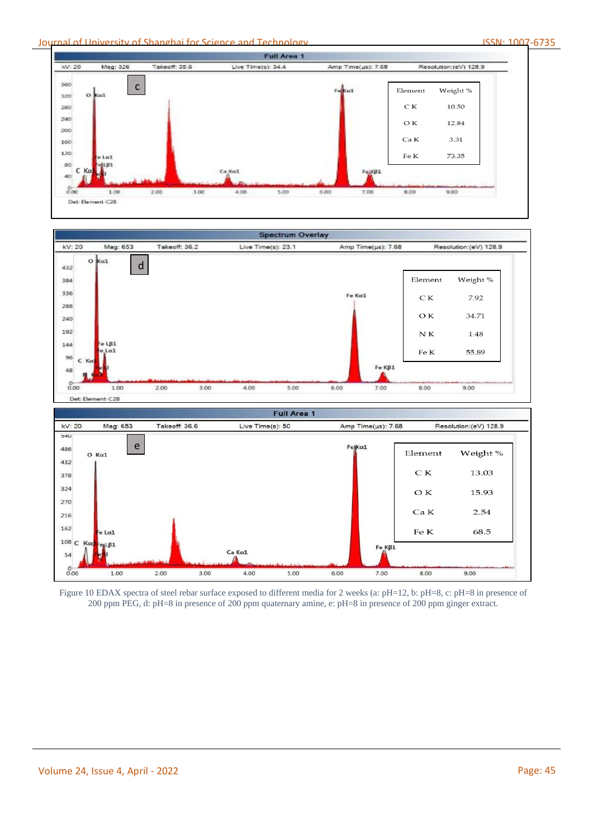#### Journal of University of Shanghai for Science and Technology ISSN: 1007-6735





Figure 10 EDAX spectra of steel rebar surface exposed to different media for 2 weeks (a: pH=12, b: pH=8, c: pH=8 in presence of 200 ppm PEG, d: pH=8 in presence of 200 ppm quaternary amine, e: pH=8 in presence of 200 ppm ginger extract.

 $5.00$ 

6.00

 $Ca$   $K\alpha$ 1

 $3.00$ 

 $4.00$ 

 $2.00$ 

1.00

 $Fe K\beta1$ 

 $7.00$ 

8.00

 $9.00$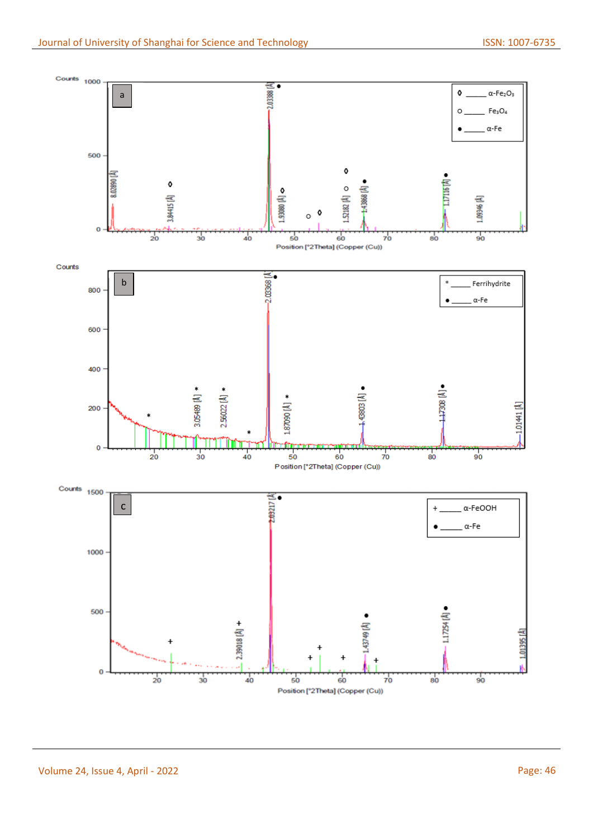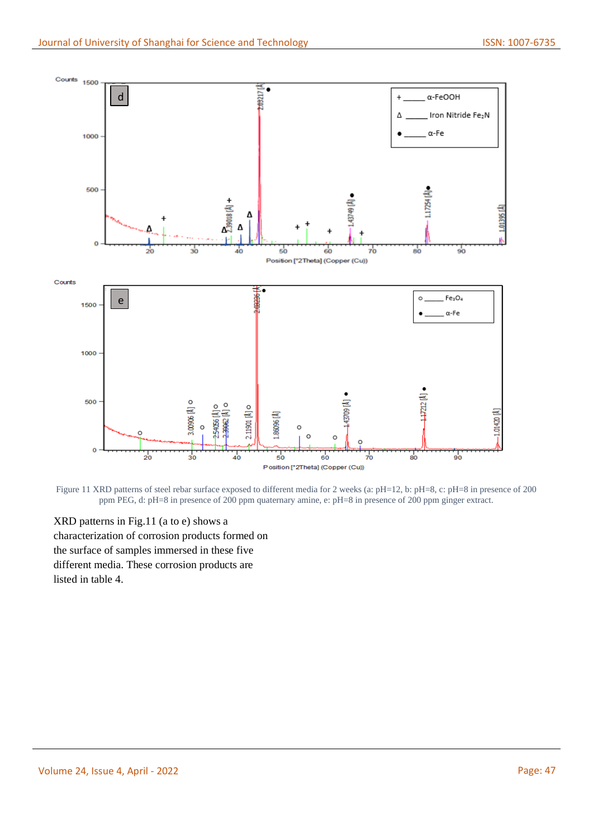

Figure 11 XRD patterns of steel rebar surface exposed to different media for 2 weeks (a: pH=12, b: pH=8, c: pH=8 in presence of 200 ppm PEG, d: pH=8 in presence of 200 ppm quaternary amine, e: pH=8 in presence of 200 ppm ginger extract.

XRD patterns in Fig.11 (a to e) shows a characterization of corrosion products formed on the surface of samples immersed in these five different media. These corrosion products are listed in table 4.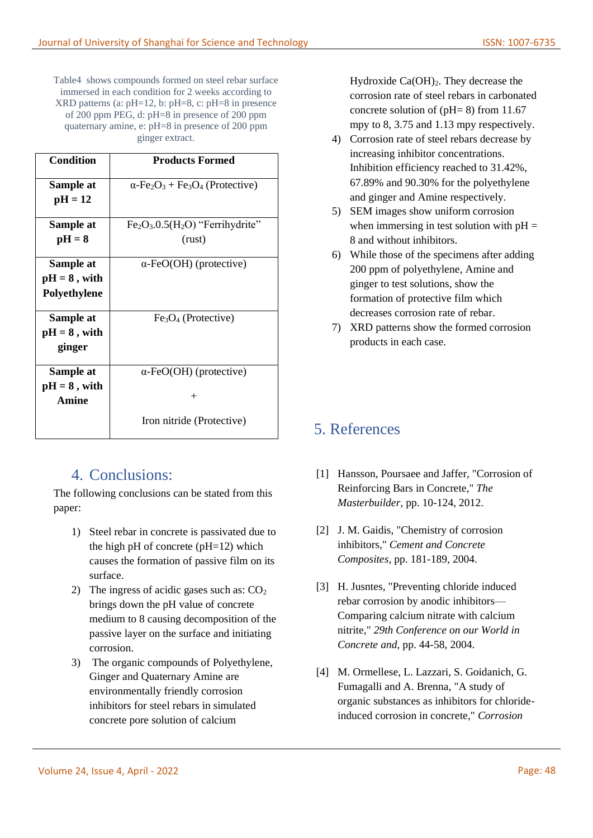Table4 shows compounds formed on steel rebar surface immersed in each condition for 2 weeks according to XRD patterns (a: pH=12, b: pH=8, c: pH=8 in presence of 200 ppm PEG, d: pH=8 in presence of 200 ppm quaternary amine, e: pH=8 in presence of 200 ppm ginger extract.

| <b>Condition</b>                                    | <b>Products Formed</b>                                                                 |  |
|-----------------------------------------------------|----------------------------------------------------------------------------------------|--|
| Sample at<br>$\mathbf{pH} = 12$                     | $\alpha$ -Fe <sub>2</sub> O <sub>3</sub> + Fe <sub>3</sub> O <sub>4</sub> (Protective) |  |
| Sample at<br>$pH = 8$                               | Fe <sub>2</sub> O <sub>3</sub> .0.5(H <sub>2</sub> O) "Ferrihydrite"<br>(rust)         |  |
| Sample at<br>$pH = 8$ , with<br><b>Polyethylene</b> | $\alpha$ -FeO(OH) (protective)                                                         |  |
| Sample at<br>$pH = 8$ , with<br>ginger              | $Fe3O4$ (Protective)                                                                   |  |
| Sample at<br>$pH = 8$ , with<br>Amine               | $\alpha$ -FeO(OH) (protective)<br>$^{+}$<br>Iron nitride (Protective)                  |  |

# 4. Conclusions:

The following conclusions can be stated from this paper:

- 1) Steel rebar in concrete is passivated due to the high pH of concrete (pH=12) which causes the formation of passive film on its surface.
- 2) The ingress of acidic gases such as:  $CO<sub>2</sub>$ brings down the pH value of concrete medium to 8 causing decomposition of the passive layer on the surface and initiating corrosion.
- 3) The organic compounds of Polyethylene, Ginger and Quaternary Amine are environmentally friendly corrosion inhibitors for steel rebars in simulated concrete pore solution of calcium

Hydroxide Ca(OH)<sub>2</sub>. They decrease the corrosion rate of steel rebars in carbonated concrete solution of (pH= 8) from 11.67 mpy to 8, 3.75 and 1.13 mpy respectively.

- 4) Corrosion rate of steel rebars decrease by increasing inhibitor concentrations. Inhibition efficiency reached to 31.42%, 67.89% and 90.30% for the polyethylene and ginger and Amine respectively.
- 5) SEM images show uniform corrosion when immersing in test solution with  $pH =$ 8 and without inhibitors.
- 6) While those of the specimens after adding 200 ppm of polyethylene, Amine and ginger to test solutions, show the formation of protective film which decreases corrosion rate of rebar.
- 7) XRD patterns show the formed corrosion products in each case.

# 5. References

- [1] Hansson, Poursaee and Jaffer, "Corrosion of Reinforcing Bars in Concrete," *The Masterbuilder,* pp. 10-124, 2012.
- [2] J. M. Gaidis, "Chemistry of corrosion inhibitors," *Cement and Concrete Composites,* pp. 181-189, 2004.
- [3] H. Jusntes, "Preventing chloride induced rebar corrosion by anodic inhibitors— Comparing calcium nitrate with calcium nitrite," *29th Conference on our World in Concrete and,* pp. 44-58, 2004.
- [4] M. Ormellese, L. Lazzari, S. Goidanich, G. Fumagalli and A. Brenna, "A study of organic substances as inhibitors for chlorideinduced corrosion in concrete," *Corrosion*